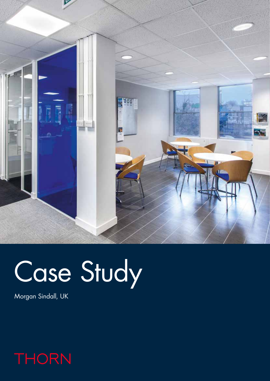

## Case Study

Morgan Sindall, UK

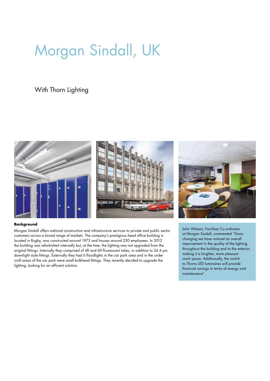## Morgan Sindall, UK

With Thorn Lighting



## **Background**

Morgan Sindall offers national construction and infrastructure services to private and public sector customers across a broad range of markets. The company's prestigious head office building is located in Rugby, was constructed around 1973 and houses around 230 employees. In 2012 the building was refurbished internally but, at the time, the lighting was not upgraded from the original fittings. Internally they comprised of 4ft and 6ft fluorescent tubes, in addition to 2d 4 pin downlight style fittings. Externally they had 6 floodlights in the car park area and in the under croft areas of the car park were small bulkhead fittings. They recently decided to upgrade the lighting, looking for an efficient solution.

John Watson, Facilities Co-ordinator at Morgan Sindall, commented "Since changing we have noticed an overall improvement in the quality of the lighting throughout the building and to the exterior, making it a brighter, more pleasant work space. Additionally, the switch to Thorns LED luminaires will provide financial savings in terms of energy and maintenance".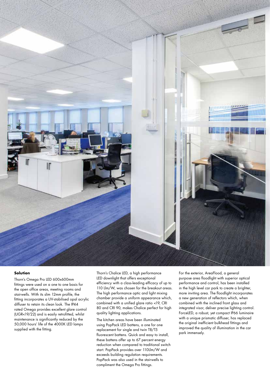

## **Solution**

Thorn's Omega Pro LED 600x600mm fittings were used on a one to one basis for the open office areas, meeting rooms and stairwells. With its slim 12mm profile, the fitting incorporates a UV-stabilised opal acrylic diffuser to retain its clean look. The IP44 rated Omega provides excellent glare control (UGR<19/22) and is easily retrofitted, whilst maintenance is significantly reduced by the 50,000 hours' life of the 4000K LED lamps supplied with the fitting.

Thorn's Chalice LED, a high performance LED downlight that offers exceptional efficiency with a class-leading efficacy of up to 110 Llm/W, was chosen for the breakout areas. The high performance optic and light mixing chamber provide a uniform appearance which, combined with a unified glare ratio <19, CRI 80 and CRI 90, makes Chalice perfect for high quality lighting applications.

The kitchen areas have been illuminated using PopPack LED battens, a one for one replacement for single and twin T8/T5 fluorescent battens. Quick and easy to install, these battens offer up to 67 percent energy reduction when compared to traditional switch start. PopPack provides over 110Llm/W and exceeds building regulation requirements. PopPack was also used in the stairwells to compliment the Omega Pro fittings.

For the exterior, AreaFlood, a general purpose area floodlight with superior optical performance and control, has been installed in the high level car park to create a brighter, more inviting area. The floodlight incorporates a new generation of reflectors which, when combined with the inclined front glass and integrated visor, deliver precise lighting control. ForceLED, a robust, yet compact IP66 luminaire with a unique prismatic diffuser, has replaced the original inefficient bulkhead fittings and improved the quality of illumination in the car park immensely.